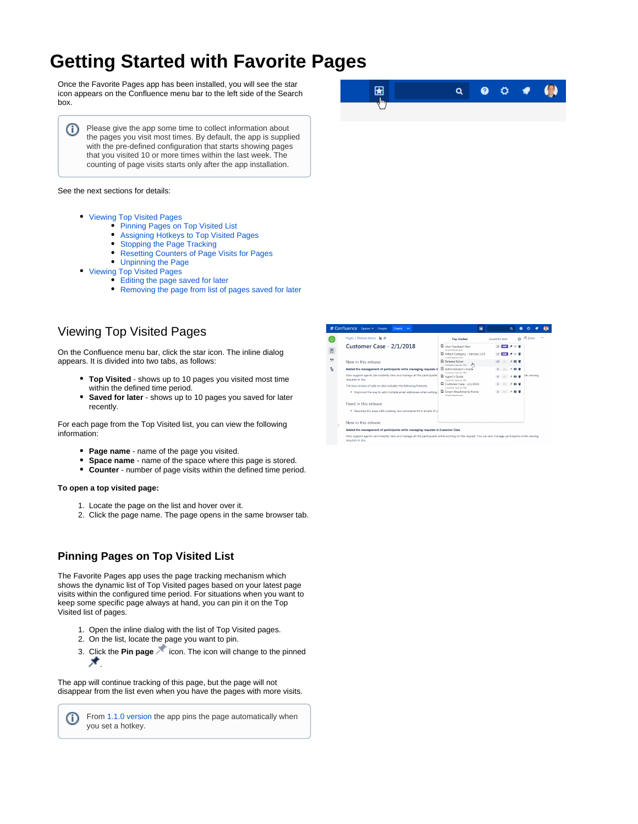# **Getting Started with Favorite Pages**

Once the Favorite Pages app has been installed, you will see the star icon appears on the Confluence menu bar to the left side of the Search box.

Please give the app some time to collect information about O) the pages you visit most times. By default, the app is supplied with the pre-defined configuration that starts showing pages that you visited 10 or more times within the last week. The counting of page visits starts only after the app installation.

#### See the next sections for details:

- [Viewing Top Visited Pages](#page-0-0)
	- [Pinning Pages on Top Visited List](#page-0-1)
	- [Assigning Hotkeys to Top Visited Pages](#page-0-2)
	- $\bullet$ [Stopping the Page Tracking](#page-1-0)
	- [Resetting Counters of Page Visits for Pages](#page-1-1)
	- [Unpinning the Page](#page-2-0)
- [Viewing Top Visited Pages](#page-2-1)
	- [Editing the page saved for later](#page-2-2)
	- [Removing the page from list of pages saved for later](#page-2-3)

# <span id="page-0-0"></span>Viewing Top Visited Pages

On the Confluence menu bar, click the star icon. The inline dialog appears. It is divided into two tabs, as follows:

- **Top Visited** shows up to 10 pages you visited most time within the defined time period.
- **Saved for later** shows up to 10 pages you saved for later recently.

For each page from the Top Visited list, you can view the following information:

- **Page name** name of the page you visited.
- **Space name** name of the space where this page is stored.
- $\bullet$ **Counter** - number of page visits within the defined time period.

#### **To open a top visited page:**

<span id="page-0-2"></span>⋒

- 1. Locate the page on the list and hover over it.
- 2. Click the page name. The page opens in the same browser tab.

### <span id="page-0-1"></span>**Pinning Pages on Top Visited List**

The Favorite Pages app uses the page tracking mechanism which shows the dynamic list of Top Visited pages based on your latest page visits within the configured time period. For situations when you want to keep some specific page always at hand, you can pin it on the Top Visited list of pages.

- 1. Open the inline dialog with the list of Top Visited pages.
- 2. On the list, locate the page you want to pin.
- 3. Click the **Pin page** icon. The icon will change to the pinned  $\star$

The app will continue tracking of this page, but the page will not disappear from the list even when you have the pages with more visits.

From [1.1.0 version](https://docs.stiltsoft.com/display/FVPG/Favorite+Pages+1.1.0) the app pins the page automatically when you set a hotkey.



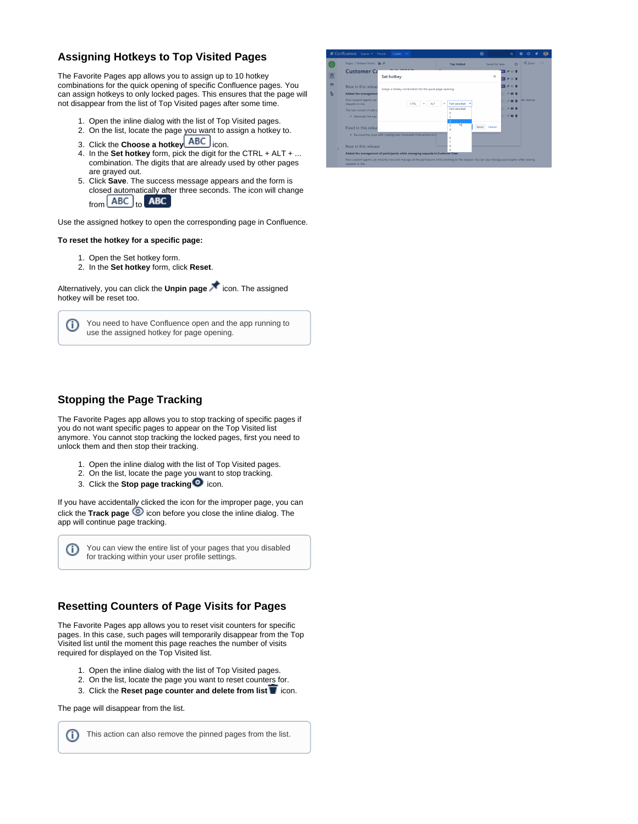

# **Assigning Hotkeys to Top Visited Pages**

The Favorite Pages app allows you to assign up to 10 hotkey combinations for the quick opening of specific Confluence pages. You can assign hotkeys to only locked pages. This ensures that the page will not disappear from the list of Top Visited pages after some time.

- 1. Open the inline dialog with the list of Top Visited pages.
- 2. On the list, locate the page you want to assign a hotkey to.
- 3. Click the **Choose a hotkey** icon.
- 4. In the **Set hotkey** form, pick the digit for the CTRL + ALT + ... combination. The digits that are already used by other pages are grayed out.
- 5. Click **Save**. The success message appears and the form is closed automatically after three seconds. The icon will change from  $[ABC]_{to}$ **ABC**

Use the assigned hotkey to open the corresponding page in Confluence.

#### **To reset the hotkey for a specific page:**

- 1. Open the Set hotkey form.
- 2. In the **Set hotkey** form, click **Reset**.

Alternatively, you can click the **Unpin page** icon. The assigned hotkey will be reset too.

You need to have Confluence open and the app running to G) use the assigned hotkey for page opening.

<span id="page-1-0"></span>

The Favorite Pages app allows you to stop tracking of specific pages if you do not want specific pages to appear on the Top Visited list anymore. You cannot stop tracking the locked pages, first you need to unlock them and then stop their tracking.

- 1. Open the inline dialog with the list of Top Visited pages.
- 2. On the list, locate the page you want to stop tracking.
- 3. Click the **Stop page tracking i**con.

If you have accidentally clicked the icon for the improper page, you can click the **Track page**  $\bullet$  icon before you close the inline dialog. The app will continue page tracking.

You can view the entire list of your pages that you disabled for tracking within your user profile settings.

## <span id="page-1-1"></span>**Resetting Counters of Page Visits for Pages**

The Favorite Pages app allows you to reset visit counters for specific pages. In this case, such pages will temporarily disappear from the Top Visited list until the moment this page reaches the number of visits required for displayed on the Top Visited list.

- 1. Open the inline dialog with the list of Top Visited pages.
- 2. On the list, locate the page you want to reset counters for.
- 3. Click the **Reset page counter and delete from list T** icon.

The page will disappear from the list.

Ü

This action can also remove the pinned pages from the list.G)